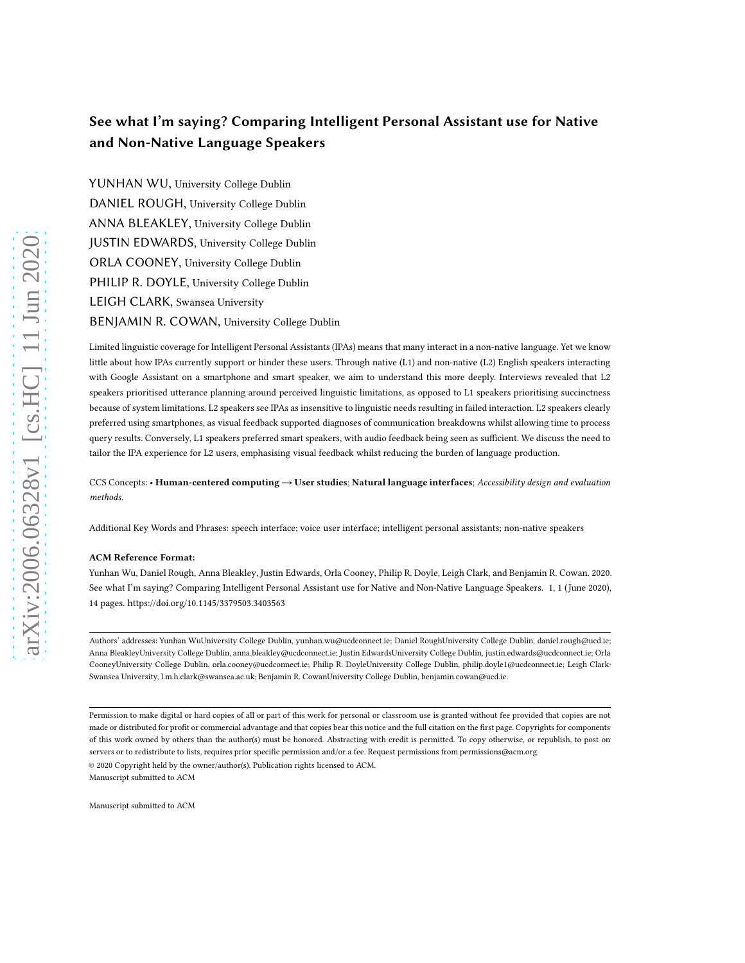# See what I'm saying? Comparing Intelligent Personal Assistant use for Native and Non-Native Language Speakers

YUNHAN WU, University College Dublin DANIEL ROUGH, University College Dublin ANNA BLEAKLEY, University College Dublin JUSTIN EDWARDS, University College Dublin ORLA COONEY, University College Dublin PHILIP R. DOYLE, University College Dublin LEIGH CLARK, Swansea University BENJAMIN R. COWAN, University College Dublin

Limited linguistic coverage for Intelligent Personal Assistants (IPAs) means that many interact in a non-native language. Yet we know little about how IPAs currently support or hinder these users. Through native (L1) and non-native (L2) English speakers interacting with Google Assistant on a smartphone and smart speaker, we aim to understand this more deeply. Interviews revealed that L2 speakers prioritised utterance planning around perceived linguistic limitations, as opposed to L1 speakers prioritising succinctness because of system limitations. L2 speakers see IPAs as insensitive to linguistic needs resulting in failed interaction. L2 speakers clearly preferred using smartphones, as visual feedback supported diagnoses of communication breakdowns whilst allowing time to process query results. Conversely, L1 speakers preferred smart speakers, with audio feedback being seen as sufficient. We discuss the need to tailor the IPA experience for L2 users, emphasising visual feedback whilst reducing the burden of language production.

CCS Concepts: • Human-centered computing → User studies; Natural language interfaces; Accessibility design and evaluation methods.

Additional Key Words and Phrases: speech interface; voice user interface; intelligent personal assistants; non-native speakers

#### ACM Reference Format:

Yunhan Wu, Daniel Rough, Anna Bleakley, Justin Edwards, Orla Cooney, Philip R. Doyle, Leigh Clark, and Benjamin R. Cowan. 2020. See what I'm saying? Comparing Intelligent Personal Assistant use for Native and Non-Native Language Speakers. 1, 1 (June 2020), [14](#page-13-0) pages.<https://doi.org/10.1145/3379503.3403563>

Authors' addresses: Yunhan WuUniversity College Dublin, yunhan.wu@ucdconnect.ie; Daniel RoughUniversity College Dublin, daniel.rough@ucd.ie; Anna BleakleyUniversity College Dublin, anna.bleakley@ucdconnect.ie; Justin EdwardsUniversity College Dublin, justin.edwards@ucdconnect.ie; Orla CooneyUniversity College Dublin, orla.cooney@ucdconnect.ie; Philip R. DoyleUniversity College Dublin, philip.doyle1@ucdconnect.ie; Leigh Clark-Swansea University, l.m.h.clark@swansea.ac.uk; Benjamin R. CowanUniversity College Dublin, benjamin.cowan@ucd.ie.

Manuscript submitted to ACM

Permission to make digital or hard copies of all or part of this work for personal or classroom use is granted without fee provided that copies are not made or distributed for profit or commercial advantage and that copies bear this notice and the full citation on the first page. Copyrights for components of this work owned by others than the author(s) must be honored. Abstracting with credit is permitted. To copy otherwise, or republish, to post on servers or to redistribute to lists, requires prior specific permission and/or a fee. Request permissions from permissions@acm.org. © 2020 Copyright held by the owner/author(s). Publication rights licensed to ACM.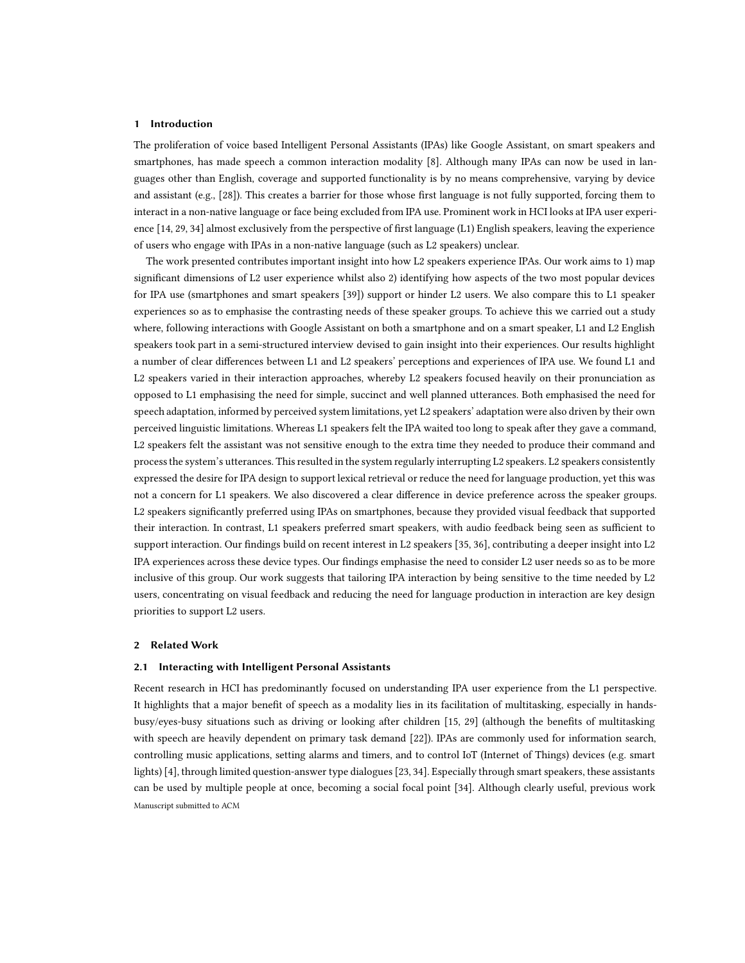## 1 Introduction

The proliferation of voice based Intelligent Personal Assistants (IPAs) like Google Assistant, on smart speakers and smartphones, has made speech a common interaction modality [\[8](#page-12-0)]. Although many IPAs can now be used in languages other than English, coverage and supported functionality is by no means comprehensive, varying by device and assistant (e.g., [\[28](#page-12-1)]). This creates a barrier for those whose first language is not fully supported, forcing them to interact in a non-native language or face being excluded from IPA use. Prominent work in HCI looks at IPA user experience [\[14](#page-12-2), [29,](#page-12-3) [34\]](#page-13-1) almost exclusively from the perspective of first language (L1) English speakers, leaving the experience of users who engage with IPAs in a non-native language (such as L2 speakers) unclear.

The work presented contributes important insight into how L2 speakers experience IPAs. Our work aims to 1) map significant dimensions of L2 user experience whilst also 2) identifying how aspects of the two most popular devices for IPA use (smartphones and smart speakers [\[39](#page-13-2)]) support or hinder L2 users. We also compare this to L1 speaker experiences so as to emphasise the contrasting needs of these speaker groups. To achieve this we carried out a study where, following interactions with Google Assistant on both a smartphone and on a smart speaker, L1 and L2 English speakers took part in a semi-structured interview devised to gain insight into their experiences. Our results highlight a number of clear differences between L1 and L2 speakers' perceptions and experiences of IPA use. We found L1 and L2 speakers varied in their interaction approaches, whereby L2 speakers focused heavily on their pronunciation as opposed to L1 emphasising the need for simple, succinct and well planned utterances. Both emphasised the need for speech adaptation, informed by perceived system limitations, yet L2 speakers' adaptation were also driven by their own perceived linguistic limitations. Whereas L1 speakers felt the IPA waited too long to speak after they gave a command, L2 speakers felt the assistant was not sensitive enough to the extra time they needed to produce their command and process the system's utterances. This resulted in the system regularly interrupting L2 speakers. L2 speakers consistently expressed the desire for IPA design to support lexical retrieval or reduce the need for language production, yet this was not a concern for L1 speakers. We also discovered a clear difference in device preference across the speaker groups. L2 speakers significantly preferred using IPAs on smartphones, because they provided visual feedback that supported their interaction. In contrast, L1 speakers preferred smart speakers, with audio feedback being seen as sufficient to support interaction. Our findings build on recent interest in L2 speakers [\[35](#page-13-3), [36\]](#page-13-4), contributing a deeper insight into L2 IPA experiences across these device types. Our findings emphasise the need to consider L2 user needs so as to be more inclusive of this group. Our work suggests that tailoring IPA interaction by being sensitive to the time needed by L2 users, concentrating on visual feedback and reducing the need for language production in interaction are key design priorities to support L2 users.

## 2 Related Work

## 2.1 Interacting with Intelligent Personal Assistants

Recent research in HCI has predominantly focused on understanding IPA user experience from the L1 perspective. It highlights that a major benefit of speech as a modality lies in its facilitation of multitasking, especially in handsbusy/eyes-busy situations such as driving or looking after children [\[15,](#page-12-4) [29](#page-12-3)] (although the benefits of multitasking with speech are heavily dependent on primary task demand [\[22](#page-12-5)]). IPAs are commonly used for information search, controlling music applications, setting alarms and timers, and to control IoT (Internet of Things) devices (e.g. smart lights) [\[4](#page-11-0)], through limited question-answer type dialogues [\[23,](#page-12-6) [34\]](#page-13-1). Especially through smart speakers, these assistants can be used by multiple people at once, becoming a social focal point [\[34\]](#page-13-1). Although clearly useful, previous work Manuscript submitted to ACM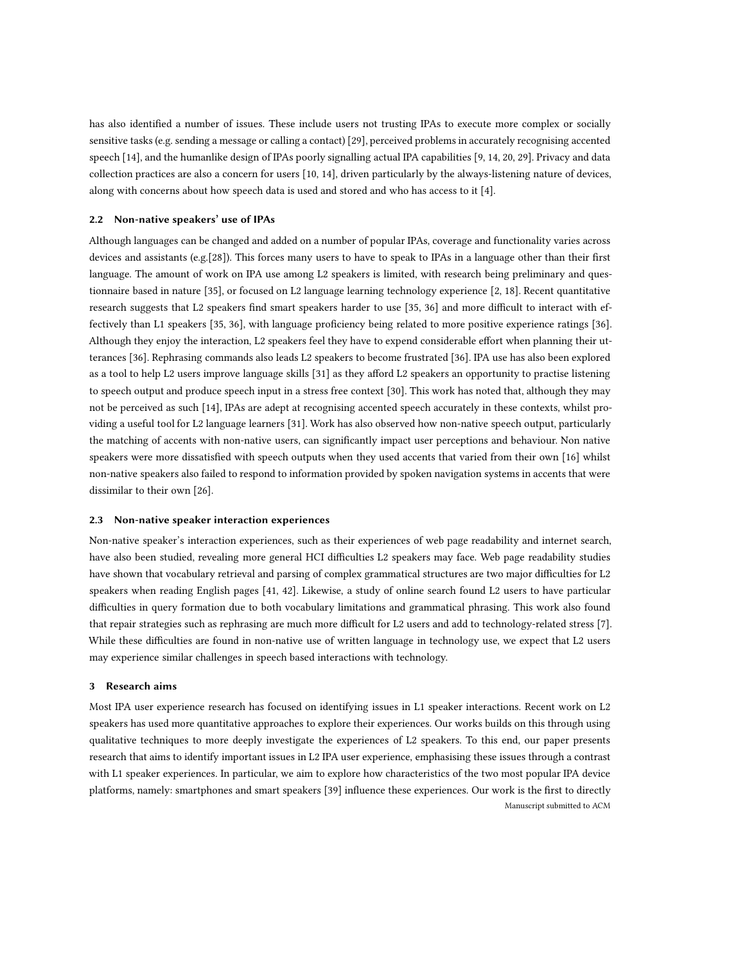has also identified a number of issues. These include users not trusting IPAs to execute more complex or socially sensitive tasks (e.g. sending a message or calling a contact) [\[29](#page-12-3)], perceived problems in accurately recognising accented speech [\[14\]](#page-12-2), and the humanlike design of IPAs poorly signalling actual IPA capabilities [\[9,](#page-12-7) [14](#page-12-2), [20,](#page-12-8) [29\]](#page-12-3). Privacy and data collection practices are also a concern for users [\[10](#page-12-9), [14\]](#page-12-2), driven particularly by the always-listening nature of devices, along with concerns about how speech data is used and stored and who has access to it [\[4](#page-11-0)].

## 2.2 Non-native speakers' use of IPAs

Although languages can be changed and added on a number of popular IPAs, coverage and functionality varies across devices and assistants (e.g.[\[28\]](#page-12-1)). This forces many users to have to speak to IPAs in a language other than their first language. The amount of work on IPA use among L2 speakers is limited, with research being preliminary and questionnaire based in nature [\[35](#page-13-3)], or focused on L2 language learning technology experience [\[2,](#page-11-1) [18](#page-12-10)]. Recent quantitative research suggests that L2 speakers find smart speakers harder to use [\[35](#page-13-3), [36](#page-13-4)] and more difficult to interact with effectively than L1 speakers [\[35,](#page-13-3) [36\]](#page-13-4), with language proficiency being related to more positive experience ratings [\[36\]](#page-13-4). Although they enjoy the interaction, L2 speakers feel they have to expend considerable effort when planning their utterances [\[36\]](#page-13-4). Rephrasing commands also leads L2 speakers to become frustrated [\[36](#page-13-4)]. IPA use has also been explored as a tool to help L2 users improve language skills [\[31](#page-13-5)] as they afford L2 speakers an opportunity to practise listening to speech output and produce speech input in a stress free context [\[30\]](#page-12-11). This work has noted that, although they may not be perceived as such [\[14](#page-12-2)], IPAs are adept at recognising accented speech accurately in these contexts, whilst providing a useful tool for L2 language learners [\[31\]](#page-13-5). Work has also observed how non-native speech output, particularly the matching of accents with non-native users, can significantly impact user perceptions and behaviour. Non native speakers were more dissatisfied with speech outputs when they used accents that varied from their own [\[16\]](#page-12-12) whilst non-native speakers also failed to respond to information provided by spoken navigation systems in accents that were dissimilar to their own [\[26\]](#page-12-13).

## 2.3 Non-native speaker interaction experiences

Non-native speaker's interaction experiences, such as their experiences of web page readability and internet search, have also been studied, revealing more general HCI difficulties L2 speakers may face. Web page readability studies have shown that vocabulary retrieval and parsing of complex grammatical structures are two major difficulties for L2 speakers when reading English pages [\[41](#page-13-6), [42](#page-13-7)]. Likewise, a study of online search found L2 users to have particular difficulties in query formation due to both vocabulary limitations and grammatical phrasing. This work also found that repair strategies such as rephrasing are much more difficult for L2 users and add to technology-related stress [\[7](#page-12-14)]. While these difficulties are found in non-native use of written language in technology use, we expect that L2 users may experience similar challenges in speech based interactions with technology.

#### 3 Research aims

Most IPA user experience research has focused on identifying issues in L1 speaker interactions. Recent work on L2 speakers has used more quantitative approaches to explore their experiences. Our works builds on this through using qualitative techniques to more deeply investigate the experiences of L2 speakers. To this end, our paper presents research that aims to identify important issues in L2 IPA user experience, emphasising these issues through a contrast with L1 speaker experiences. In particular, we aim to explore how characteristics of the two most popular IPA device platforms, namely: smartphones and smart speakers [\[39\]](#page-13-2) influence these experiences. Our work is the first to directly Manuscript submitted to ACM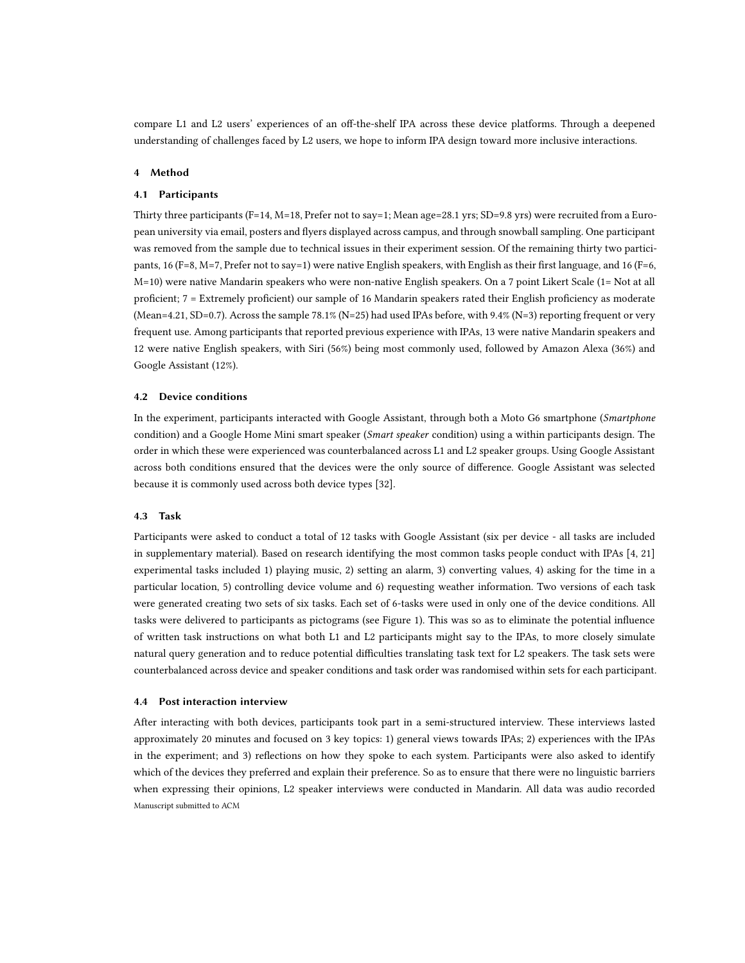compare L1 and L2 users' experiences of an off-the-shelf IPA across these device platforms. Through a deepened understanding of challenges faced by L2 users, we hope to inform IPA design toward more inclusive interactions.

#### 4 Method

#### 4.1 Participants

Thirty three participants (F=14, M=18, Prefer not to say=1; Mean age=28.1 yrs; SD=9.8 yrs) were recruited from a European university via email, posters and flyers displayed across campus, and through snowball sampling. One participant was removed from the sample due to technical issues in their experiment session. Of the remaining thirty two participants, 16 (F=8, M=7, Prefer not to say=1) were native English speakers, with English as their first language, and 16 (F=6, M=10) were native Mandarin speakers who were non-native English speakers. On a 7 point Likert Scale (1= Not at all proficient; 7 = Extremely proficient) our sample of 16 Mandarin speakers rated their English proficiency as moderate (Mean=4.21, SD=0.7). Across the sample 78.1% (N=25) had used IPAs before, with 9.4% (N=3) reporting frequent or very frequent use. Among participants that reported previous experience with IPAs, 13 were native Mandarin speakers and 12 were native English speakers, with Siri (56%) being most commonly used, followed by Amazon Alexa (36%) and Google Assistant (12%).

#### 4.2 Device conditions

In the experiment, participants interacted with Google Assistant, through both a Moto G6 smartphone (Smartphone condition) and a Google Home Mini smart speaker (Smart speaker condition) using a within participants design. The order in which these were experienced was counterbalanced across L1 and L2 speaker groups. Using Google Assistant across both conditions ensured that the devices were the only source of difference. Google Assistant was selected because it is commonly used across both device types [\[32\]](#page-13-8).

## 4.3 Task

Participants were asked to conduct a total of 12 tasks with Google Assistant (six per device - all tasks are included in supplementary material). Based on research identifying the most common tasks people conduct with IPAs [\[4](#page-11-0), [21](#page-12-15)] experimental tasks included 1) playing music, 2) setting an alarm, 3) converting values, 4) asking for the time in a particular location, 5) controlling device volume and 6) requesting weather information. Two versions of each task were generated creating two sets of six tasks. Each set of 6-tasks were used in only one of the device conditions. All tasks were delivered to participants as pictograms (see Figure 1). This was so as to eliminate the potential influence of written task instructions on what both L1 and L2 participants might say to the IPAs, to more closely simulate natural query generation and to reduce potential difficulties translating task text for L2 speakers. The task sets were counterbalanced across device and speaker conditions and task order was randomised within sets for each participant.

#### 4.4 Post interaction interview

After interacting with both devices, participants took part in a semi-structured interview. These interviews lasted approximately 20 minutes and focused on 3 key topics: 1) general views towards IPAs; 2) experiences with the IPAs in the experiment; and 3) reflections on how they spoke to each system. Participants were also asked to identify which of the devices they preferred and explain their preference. So as to ensure that there were no linguistic barriers when expressing their opinions, L2 speaker interviews were conducted in Mandarin. All data was audio recorded Manuscript submitted to ACM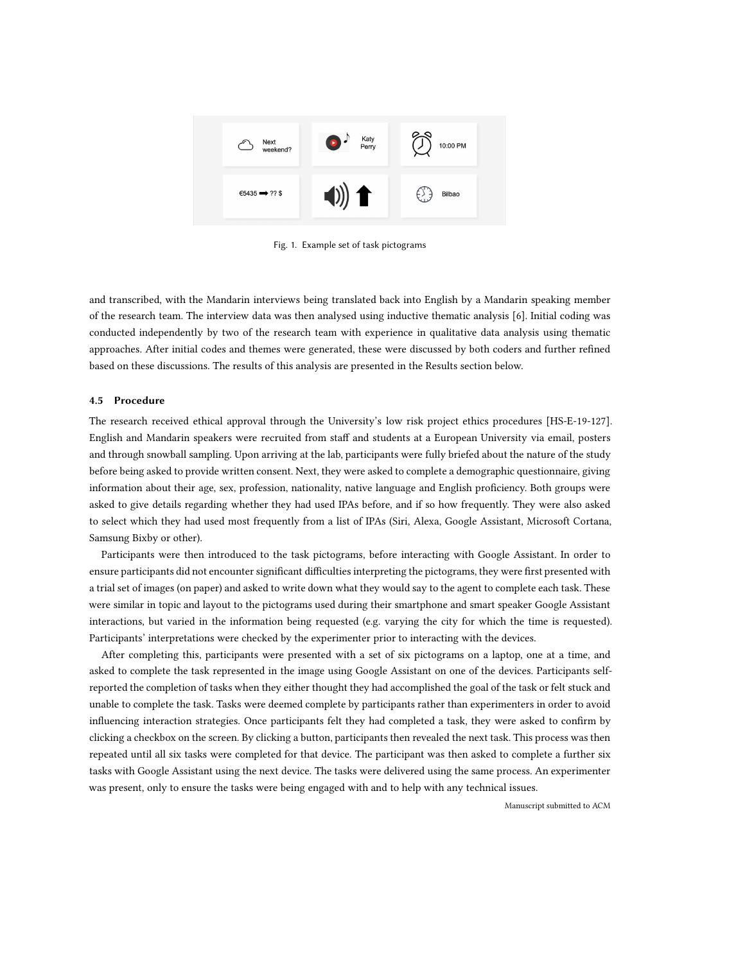

Fig. 1. Example set of task pictograms

and transcribed, with the Mandarin interviews being translated back into English by a Mandarin speaking member of the research team. The interview data was then analysed using inductive thematic analysis [\[6\]](#page-12-16). Initial coding was conducted independently by two of the research team with experience in qualitative data analysis using thematic approaches. After initial codes and themes were generated, these were discussed by both coders and further refined based on these discussions. The results of this analysis are presented in the Results section below.

## 4.5 Procedure

The research received ethical approval through the University's low risk project ethics procedures [HS-E-19-127]. English and Mandarin speakers were recruited from staff and students at a European University via email, posters and through snowball sampling. Upon arriving at the lab, participants were fully briefed about the nature of the study before being asked to provide written consent. Next, they were asked to complete a demographic questionnaire, giving information about their age, sex, profession, nationality, native language and English proficiency. Both groups were asked to give details regarding whether they had used IPAs before, and if so how frequently. They were also asked to select which they had used most frequently from a list of IPAs (Siri, Alexa, Google Assistant, Microsoft Cortana, Samsung Bixby or other).

Participants were then introduced to the task pictograms, before interacting with Google Assistant. In order to ensure participants did not encounter significant difficulties interpreting the pictograms, they were first presented with a trial set of images (on paper) and asked to write down what they would say to the agent to complete each task. These were similar in topic and layout to the pictograms used during their smartphone and smart speaker Google Assistant interactions, but varied in the information being requested (e.g. varying the city for which the time is requested). Participants' interpretations were checked by the experimenter prior to interacting with the devices.

After completing this, participants were presented with a set of six pictograms on a laptop, one at a time, and asked to complete the task represented in the image using Google Assistant on one of the devices. Participants selfreported the completion of tasks when they either thought they had accomplished the goal of the task or felt stuck and unable to complete the task. Tasks were deemed complete by participants rather than experimenters in order to avoid influencing interaction strategies. Once participants felt they had completed a task, they were asked to confirm by clicking a checkbox on the screen. By clicking a button, participants then revealed the next task. This process was then repeated until all six tasks were completed for that device. The participant was then asked to complete a further six tasks with Google Assistant using the next device. The tasks were delivered using the same process. An experimenter was present, only to ensure the tasks were being engaged with and to help with any technical issues.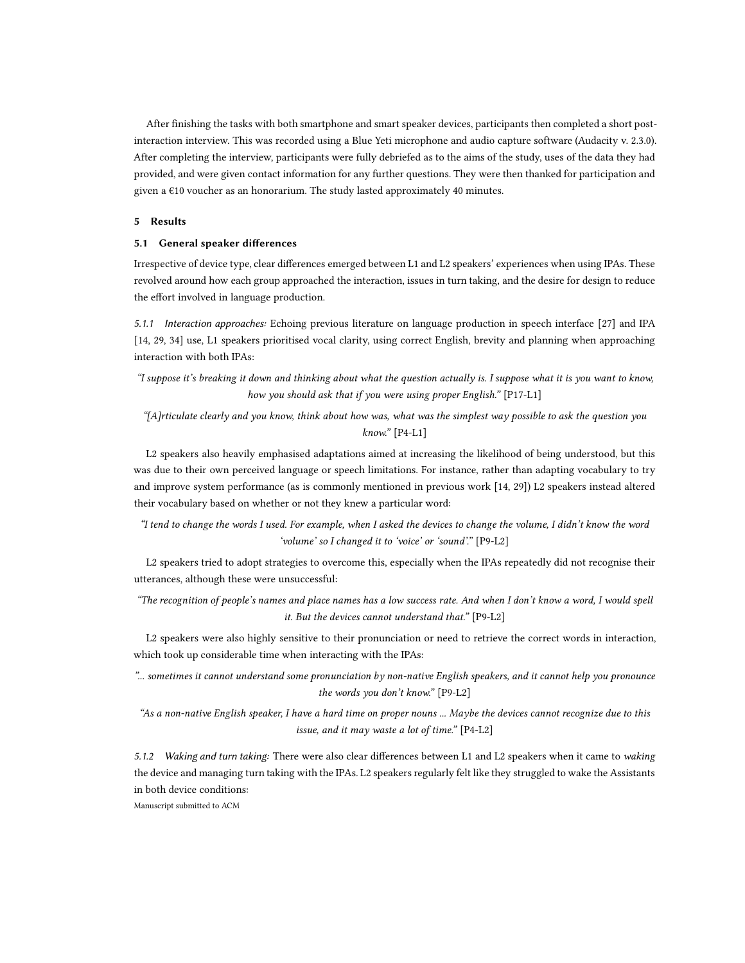After finishing the tasks with both smartphone and smart speaker devices, participants then completed a short postinteraction interview. This was recorded using a Blue Yeti microphone and audio capture software (Audacity v. 2.3.0). After completing the interview, participants were fully debriefed as to the aims of the study, uses of the data they had provided, and were given contact information for any further questions. They were then thanked for participation and given a €10 voucher as an honorarium. The study lasted approximately 40 minutes.

## 5 Results

## 5.1 General speaker differences

Irrespective of device type, clear differences emerged between L1 and L2 speakers' experiences when using IPAs. These revolved around how each group approached the interaction, issues in turn taking, and the desire for design to reduce the effort involved in language production.

*5.1.1 Interaction approaches:* Echoing previous literature on language production in speech interface [\[27](#page-12-17)] and IPA [\[14,](#page-12-2) [29,](#page-12-3) [34\]](#page-13-1) use, L1 speakers prioritised vocal clarity, using correct English, brevity and planning when approaching interaction with both IPAs:

"I suppose it's breaking it down and thinking about what the question actually is. I suppose what it is you want to know, how you should ask that if you were using proper English." [P17-L1]

"[A]rticulate clearly and you know, think about how was, what was the simplest way possible to ask the question you know." [P4-L1]

L2 speakers also heavily emphasised adaptations aimed at increasing the likelihood of being understood, but this was due to their own perceived language or speech limitations. For instance, rather than adapting vocabulary to try and improve system performance (as is commonly mentioned in previous work [\[14,](#page-12-2) [29\]](#page-12-3)) L2 speakers instead altered their vocabulary based on whether or not they knew a particular word:

"I tend to change the words I used. For example, when I asked the devices to change the volume, I didn't know the word 'volume' so I changed it to 'voice' or 'sound'." [P9-L2]

L2 speakers tried to adopt strategies to overcome this, especially when the IPAs repeatedly did not recognise their utterances, although these were unsuccessful:

"The recognition of people's names and place names has a low success rate. And when I don't know a word, I would spell it. But the devices cannot understand that." [P9-L2]

L2 speakers were also highly sensitive to their pronunciation or need to retrieve the correct words in interaction, which took up considerable time when interacting with the IPAs:

"... sometimes it cannot understand some pronunciation by non-native English speakers, and it cannot help you pronounce the words you don't know." [P9-L2]

"As a non-native English speaker, I have a hard time on proper nouns ... Maybe the devices cannot recognize due to this issue, and it may waste a lot of time." [P4-L2]

*5.1.2 Waking and turn taking:* There were also clear differences between L1 and L2 speakers when it came to waking the device and managing turn taking with the IPAs. L2 speakers regularly felt like they struggled to wake the Assistants in both device conditions: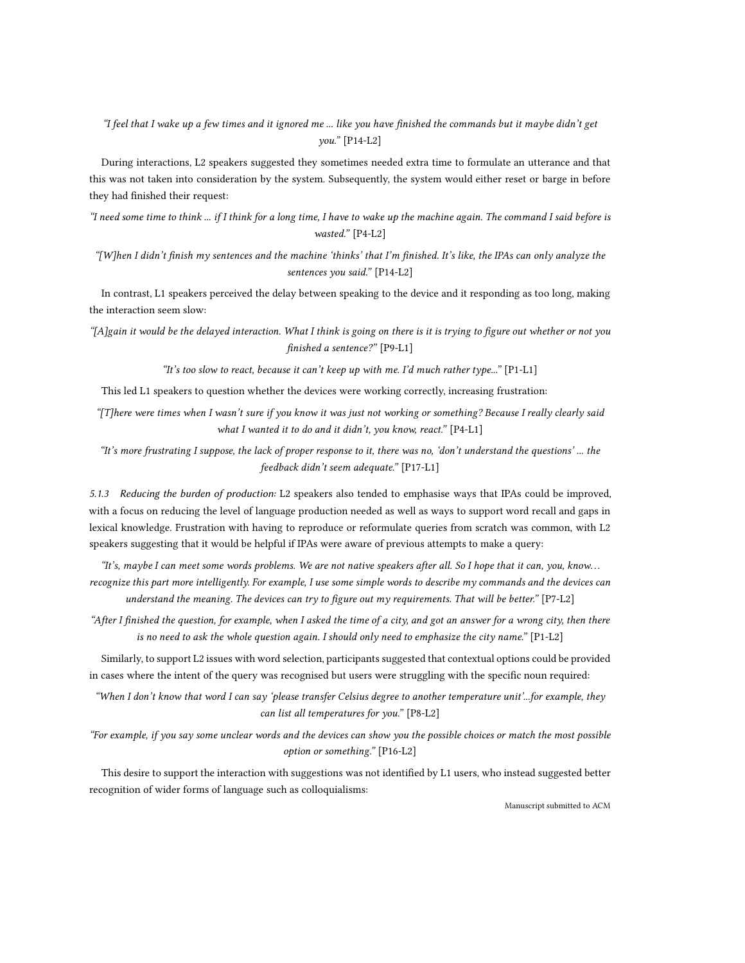## "I feel that I wake up a few times and it ignored me ... like you have finished the commands but it maybe didn't get you." [P14-L2]

During interactions, L2 speakers suggested they sometimes needed extra time to formulate an utterance and that this was not taken into consideration by the system. Subsequently, the system would either reset or barge in before they had finished their request:

"I need some time to think ... if I think for a long time, I have to wake up the machine again. The command I said before is wasted." [P4-L2]

"[W]hen I didn't finish my sentences and the machine 'thinks' that I'm finished. It's like, the IPAs can only analyze the sentences you said." [P14-L2]

In contrast, L1 speakers perceived the delay between speaking to the device and it responding as too long, making the interaction seem slow:

"[A]gain it would be the delayed interaction. What I think is going on there is it is trying to figure out whether or not you finished a sentence?" [P9-L1]

"It's too slow to react, because it can't keep up with me. I'd much rather type..." [P1-L1]

This led L1 speakers to question whether the devices were working correctly, increasing frustration:

"[T]here were times when I wasn't sure if you know it was just not working or something? Because I really clearly said what I wanted it to do and it didn't, you know, react." [P4-L1]

"It's more frustrating I suppose, the lack of proper response to it, there was no, 'don't understand the questions' ... the feedback didn't seem adequate." [P17-L1]

*5.1.3 Reducing the burden of production:* L2 speakers also tended to emphasise ways that IPAs could be improved, with a focus on reducing the level of language production needed as well as ways to support word recall and gaps in lexical knowledge. Frustration with having to reproduce or reformulate queries from scratch was common, with L2 speakers suggesting that it would be helpful if IPAs were aware of previous attempts to make a query:

"It's, maybe I can meet some words problems. We are not native speakers after all. So I hope that it can, you, know. . . recognize this part more intelligently. For example, I use some simple words to describe my commands and the devices can understand the meaning. The devices can try to figure out my requirements. That will be better." [P7-L2]

"After I finished the question, for example, when I asked the time of a city, and got an answer for a wrong city, then there is no need to ask the whole question again. I should only need to emphasize the city name." [P1-L2]

Similarly, to support L2 issues with word selection, participants suggested that contextual options could be provided in cases where the intent of the query was recognised but users were struggling with the specific noun required:

"When I don't know that word I can say 'please transfer Celsius degree to another temperature unit'...for example, they can list all temperatures for you." [P8-L2]

"For example, if you say some unclear words and the devices can show you the possible choices or match the most possible option or something." [P16-L2]

This desire to support the interaction with suggestions was not identified by L1 users, who instead suggested better recognition of wider forms of language such as colloquialisms: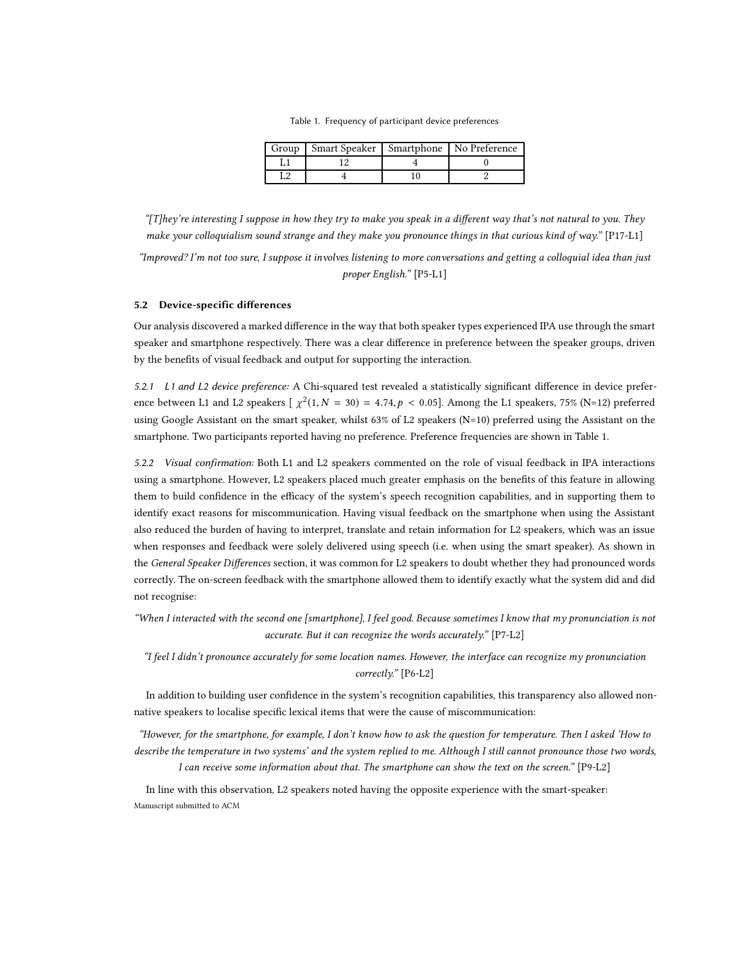Table 1. Frequency of participant device preferences

| Group   Smart Speaker   Smartphone   No Preference |  |
|----------------------------------------------------|--|
|                                                    |  |
|                                                    |  |

<span id="page-7-0"></span>"[T]hey're interesting I suppose in how they try to make you speak in a different way that's not natural to you. They make your colloquialism sound strange and they make you pronounce things in that curious kind of way." [P17-L1]

"Improved? I'm not too sure, I suppose it involves listening to more conversations and getting a colloquial idea than just proper English." [P5-L1]

#### 5.2 Device-specific differences

Our analysis discovered a marked difference in the way that both speaker types experienced IPA use through the smart speaker and smartphone respectively. There was a clear difference in preference between the speaker groups, driven by the benefits of visual feedback and output for supporting the interaction.

*5.2.1 L1 and L2 device preference:* A Chi-squared test revealed a statistically significant difference in device preference between L1 and L2 speakers  $[\ \chi^2(1, N = 30) = 4.74, p < 0.05]$ . Among the L1 speakers, 75% (N=12) preferred using Google Assistant on the smart speaker, whilst 63% of L2 speakers (N=10) preferred using the Assistant on the smartphone. Two participants reported having no preference. Preference frequencies are shown in Table [1.](#page-7-0)

*5.2.2 Visual confirmation:* Both L1 and L2 speakers commented on the role of visual feedback in IPA interactions using a smartphone. However, L2 speakers placed much greater emphasis on the benefits of this feature in allowing them to build confidence in the efficacy of the system's speech recognition capabilities, and in supporting them to identify exact reasons for miscommunication. Having visual feedback on the smartphone when using the Assistant also reduced the burden of having to interpret, translate and retain information for L2 speakers, which was an issue when responses and feedback were solely delivered using speech (i.e. when using the smart speaker). As shown in the General Speaker Differences section, it was common for L2 speakers to doubt whether they had pronounced words correctly. The on-screen feedback with the smartphone allowed them to identify exactly what the system did and did not recognise:

"When I interacted with the second one [smartphone], I feel good. Because sometimes I know that my pronunciation is not accurate. But it can recognize the words accurately." [P7-L2]

"I feel I didn't pronounce accurately for some location names. However, the interface can recognize my pronunciation correctly." [P6-L2]

In addition to building user confidence in the system's recognition capabilities, this transparency also allowed nonnative speakers to localise specific lexical items that were the cause of miscommunication:

"However, for the smartphone, for example, I don't know how to ask the question for temperature. Then I asked 'How to describe the temperature in two systems' and the system replied to me. Although I still cannot pronounce those two words, I can receive some information about that. The smartphone can show the text on the screen." [P9-L2]

In line with this observation, L2 speakers noted having the opposite experience with the smart-speaker: Manuscript submitted to ACM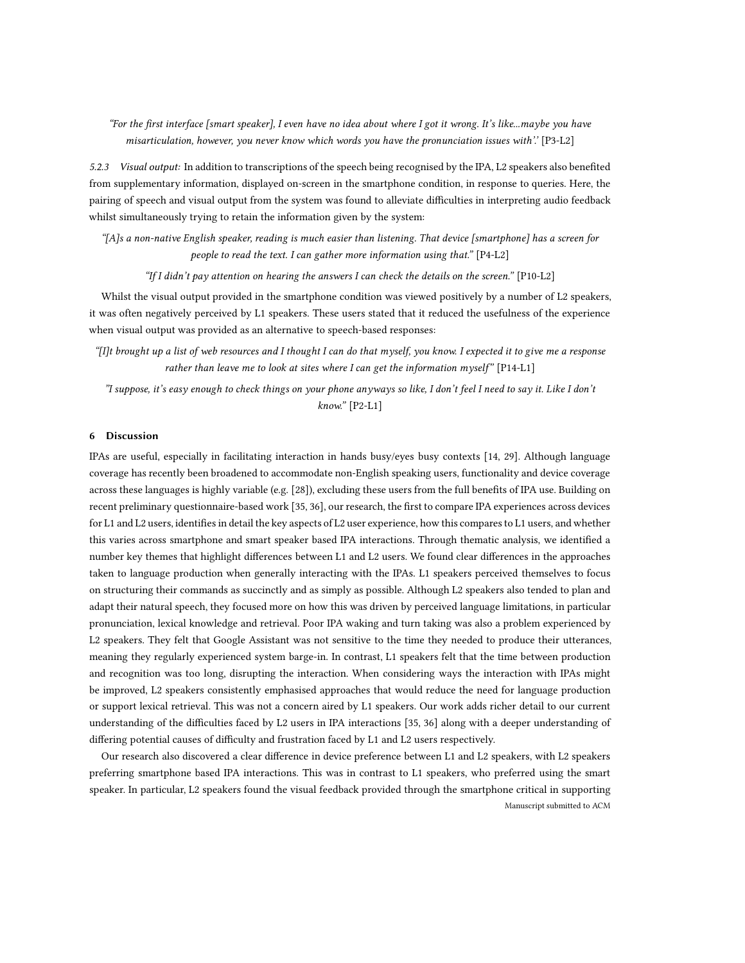"For the first interface [smart speaker], I even have no idea about where I got it wrong. It's like...maybe you have misarticulation, however, you never know which words you have the pronunciation issues with'.' [P3-L2]

*5.2.3 Visual output:* In addition to transcriptions of the speech being recognised by the IPA, L2 speakers also benefited from supplementary information, displayed on-screen in the smartphone condition, in response to queries. Here, the pairing of speech and visual output from the system was found to alleviate difficulties in interpreting audio feedback whilst simultaneously trying to retain the information given by the system:

"[A]s a non-native English speaker, reading is much easier than listening. That device [smartphone] has a screen for people to read the text. I can gather more information using that." [P4-L2]

"If I didn't pay attention on hearing the answers I can check the details on the screen." [P10-L2]

Whilst the visual output provided in the smartphone condition was viewed positively by a number of L2 speakers, it was often negatively perceived by L1 speakers. These users stated that it reduced the usefulness of the experience when visual output was provided as an alternative to speech-based responses:

"[I]t brought up a list of web resources and I thought I can do that myself, you know. I expected it to give me a response rather than leave me to look at sites where I can get the information myself" [P14-L1]

"I suppose, it's easy enough to check things on your phone anyways so like, I don't feel I need to say it. Like I don't know." [P2-L1]

#### 6 Discussion

IPAs are useful, especially in facilitating interaction in hands busy/eyes busy contexts [\[14](#page-12-2), [29\]](#page-12-3). Although language coverage has recently been broadened to accommodate non-English speaking users, functionality and device coverage across these languages is highly variable (e.g. [\[28\]](#page-12-1)), excluding these users from the full benefits of IPA use. Building on recent preliminary questionnaire-based work [\[35,](#page-13-3) [36\]](#page-13-4), our research, the first to compare IPA experiences across devices for L1 and L2 users, identifies in detail the key aspects of L2 user experience, how this compares to L1 users, and whether this varies across smartphone and smart speaker based IPA interactions. Through thematic analysis, we identified a number key themes that highlight differences between L1 and L2 users. We found clear differences in the approaches taken to language production when generally interacting with the IPAs. L1 speakers perceived themselves to focus on structuring their commands as succinctly and as simply as possible. Although L2 speakers also tended to plan and adapt their natural speech, they focused more on how this was driven by perceived language limitations, in particular pronunciation, lexical knowledge and retrieval. Poor IPA waking and turn taking was also a problem experienced by L2 speakers. They felt that Google Assistant was not sensitive to the time they needed to produce their utterances, meaning they regularly experienced system barge-in. In contrast, L1 speakers felt that the time between production and recognition was too long, disrupting the interaction. When considering ways the interaction with IPAs might be improved, L2 speakers consistently emphasised approaches that would reduce the need for language production or support lexical retrieval. This was not a concern aired by L1 speakers. Our work adds richer detail to our current understanding of the difficulties faced by L2 users in IPA interactions [\[35,](#page-13-3) [36\]](#page-13-4) along with a deeper understanding of differing potential causes of difficulty and frustration faced by L1 and L2 users respectively.

Our research also discovered a clear difference in device preference between L1 and L2 speakers, with L2 speakers preferring smartphone based IPA interactions. This was in contrast to L1 speakers, who preferred using the smart speaker. In particular, L2 speakers found the visual feedback provided through the smartphone critical in supporting Manuscript submitted to ACM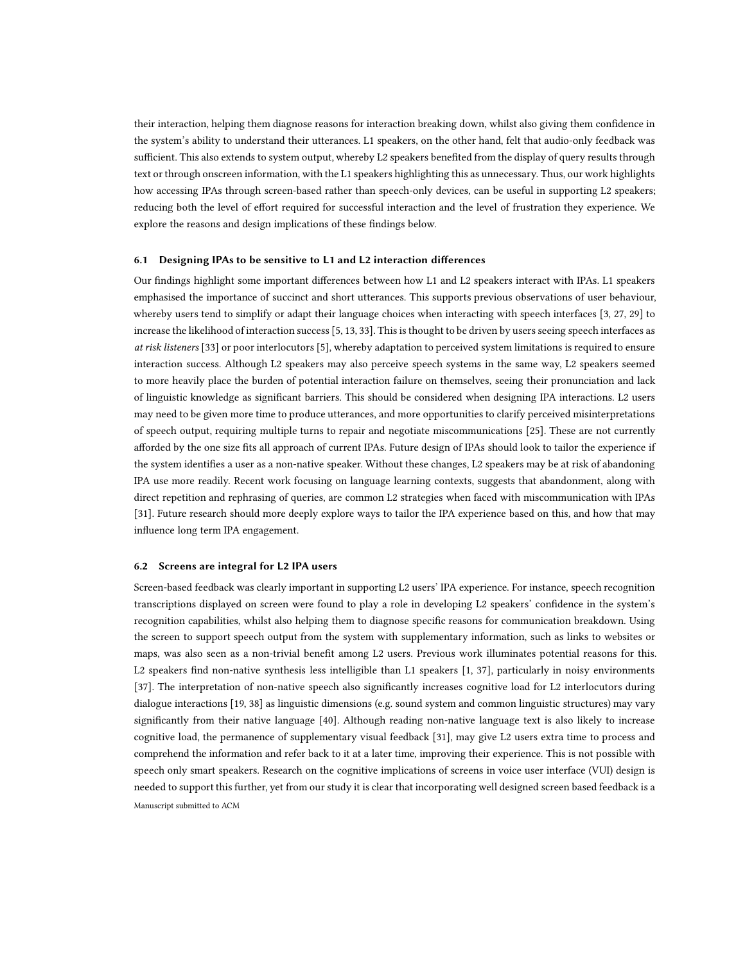their interaction, helping them diagnose reasons for interaction breaking down, whilst also giving them confidence in the system's ability to understand their utterances. L1 speakers, on the other hand, felt that audio-only feedback was sufficient. This also extends to system output, whereby L2 speakers benefited from the display of query results through text or through onscreen information, with the L1 speakers highlighting this as unnecessary. Thus, our work highlights how accessing IPAs through screen-based rather than speech-only devices, can be useful in supporting L2 speakers; reducing both the level of effort required for successful interaction and the level of frustration they experience. We explore the reasons and design implications of these findings below.

#### 6.1 Designing IPAs to be sensitive to L1 and L2 interaction differences

Our findings highlight some important differences between how L1 and L2 speakers interact with IPAs. L1 speakers emphasised the importance of succinct and short utterances. This supports previous observations of user behaviour, whereby users tend to simplify or adapt their language choices when interacting with speech interfaces [\[3](#page-11-2), [27,](#page-12-17) [29\]](#page-12-3) to increase the likelihood of interaction success [\[5,](#page-11-3) [13,](#page-12-18) [33\]](#page-13-9). This is thought to be driven by users seeing speech interfaces as at risk listeners [\[33\]](#page-13-9) or poor interlocutors [\[5](#page-11-3)], whereby adaptation to perceived system limitations is required to ensure interaction success. Although L2 speakers may also perceive speech systems in the same way, L2 speakers seemed to more heavily place the burden of potential interaction failure on themselves, seeing their pronunciation and lack of linguistic knowledge as significant barriers. This should be considered when designing IPA interactions. L2 users may need to be given more time to produce utterances, and more opportunities to clarify perceived misinterpretations of speech output, requiring multiple turns to repair and negotiate miscommunications [\[25\]](#page-12-19). These are not currently afforded by the one size fits all approach of current IPAs. Future design of IPAs should look to tailor the experience if the system identifies a user as a non-native speaker. Without these changes, L2 speakers may be at risk of abandoning IPA use more readily. Recent work focusing on language learning contexts, suggests that abandonment, along with direct repetition and rephrasing of queries, are common L2 strategies when faced with miscommunication with IPAs [\[31\]](#page-13-5). Future research should more deeply explore ways to tailor the IPA experience based on this, and how that may influence long term IPA engagement.

## 6.2 Screens are integral for L2 IPA users

Screen-based feedback was clearly important in supporting L2 users' IPA experience. For instance, speech recognition transcriptions displayed on screen were found to play a role in developing L2 speakers' confidence in the system's recognition capabilities, whilst also helping them to diagnose specific reasons for communication breakdown. Using the screen to support speech output from the system with supplementary information, such as links to websites or maps, was also seen as a non-trivial benefit among L2 users. Previous work illuminates potential reasons for this. L2 speakers find non-native synthesis less intelligible than L1 speakers [\[1,](#page-11-4) [37](#page-13-10)], particularly in noisy environments [\[37\]](#page-13-10). The interpretation of non-native speech also significantly increases cognitive load for L2 interlocutors during dialogue interactions [\[19,](#page-12-20) [38](#page-13-11)] as linguistic dimensions (e.g. sound system and common linguistic structures) may vary significantly from their native language [\[40\]](#page-13-12). Although reading non-native language text is also likely to increase cognitive load, the permanence of supplementary visual feedback [\[31](#page-13-5)], may give L2 users extra time to process and comprehend the information and refer back to it at a later time, improving their experience. This is not possible with speech only smart speakers. Research on the cognitive implications of screens in voice user interface (VUI) design is needed to support this further, yet from our study it is clear that incorporating well designed screen based feedback is a Manuscript submitted to ACM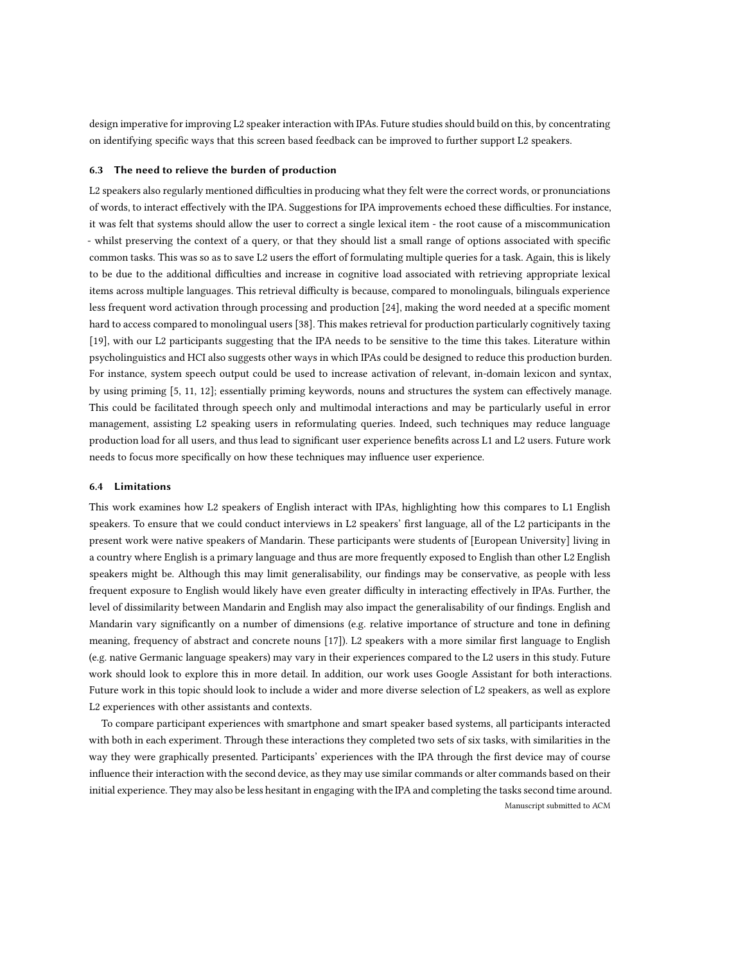design imperative for improving L2 speaker interaction with IPAs. Future studies should build on this, by concentrating on identifying specific ways that this screen based feedback can be improved to further support L2 speakers.

#### 6.3 The need to relieve the burden of production

L2 speakers also regularly mentioned difficulties in producing what they felt were the correct words, or pronunciations of words, to interact effectively with the IPA. Suggestions for IPA improvements echoed these difficulties. For instance, it was felt that systems should allow the user to correct a single lexical item - the root cause of a miscommunication - whilst preserving the context of a query, or that they should list a small range of options associated with specific common tasks. This was so as to save L2 users the effort of formulating multiple queries for a task. Again, this is likely to be due to the additional difficulties and increase in cognitive load associated with retrieving appropriate lexical items across multiple languages. This retrieval difficulty is because, compared to monolinguals, bilinguals experience less frequent word activation through processing and production [\[24](#page-12-21)], making the word needed at a specific moment hard to access compared to monolingual users [\[38\]](#page-13-11). This makes retrieval for production particularly cognitively taxing [\[19\]](#page-12-20), with our L2 participants suggesting that the IPA needs to be sensitive to the time this takes. Literature within psycholinguistics and HCI also suggests other ways in which IPAs could be designed to reduce this production burden. For instance, system speech output could be used to increase activation of relevant, in-domain lexicon and syntax, by using priming [\[5,](#page-11-3) [11,](#page-12-22) [12\]](#page-12-23); essentially priming keywords, nouns and structures the system can effectively manage. This could be facilitated through speech only and multimodal interactions and may be particularly useful in error management, assisting L2 speaking users in reformulating queries. Indeed, such techniques may reduce language production load for all users, and thus lead to significant user experience benefits across L1 and L2 users. Future work needs to focus more specifically on how these techniques may influence user experience.

## 6.4 Limitations

This work examines how L2 speakers of English interact with IPAs, highlighting how this compares to L1 English speakers. To ensure that we could conduct interviews in L2 speakers' first language, all of the L2 participants in the present work were native speakers of Mandarin. These participants were students of [European University] living in a country where English is a primary language and thus are more frequently exposed to English than other L2 English speakers might be. Although this may limit generalisability, our findings may be conservative, as people with less frequent exposure to English would likely have even greater difficulty in interacting effectively in IPAs. Further, the level of dissimilarity between Mandarin and English may also impact the generalisability of our findings. English and Mandarin vary significantly on a number of dimensions (e.g. relative importance of structure and tone in defining meaning, frequency of abstract and concrete nouns [\[17](#page-12-24)]). L2 speakers with a more similar first language to English (e.g. native Germanic language speakers) may vary in their experiences compared to the L2 users in this study. Future work should look to explore this in more detail. In addition, our work uses Google Assistant for both interactions. Future work in this topic should look to include a wider and more diverse selection of L2 speakers, as well as explore L2 experiences with other assistants and contexts.

To compare participant experiences with smartphone and smart speaker based systems, all participants interacted with both in each experiment. Through these interactions they completed two sets of six tasks, with similarities in the way they were graphically presented. Participants' experiences with the IPA through the first device may of course influence their interaction with the second device, as they may use similar commands or alter commands based on their initial experience. They may also be less hesitant in engaging with the IPA and completing the tasks second time around. Manuscript submitted to ACM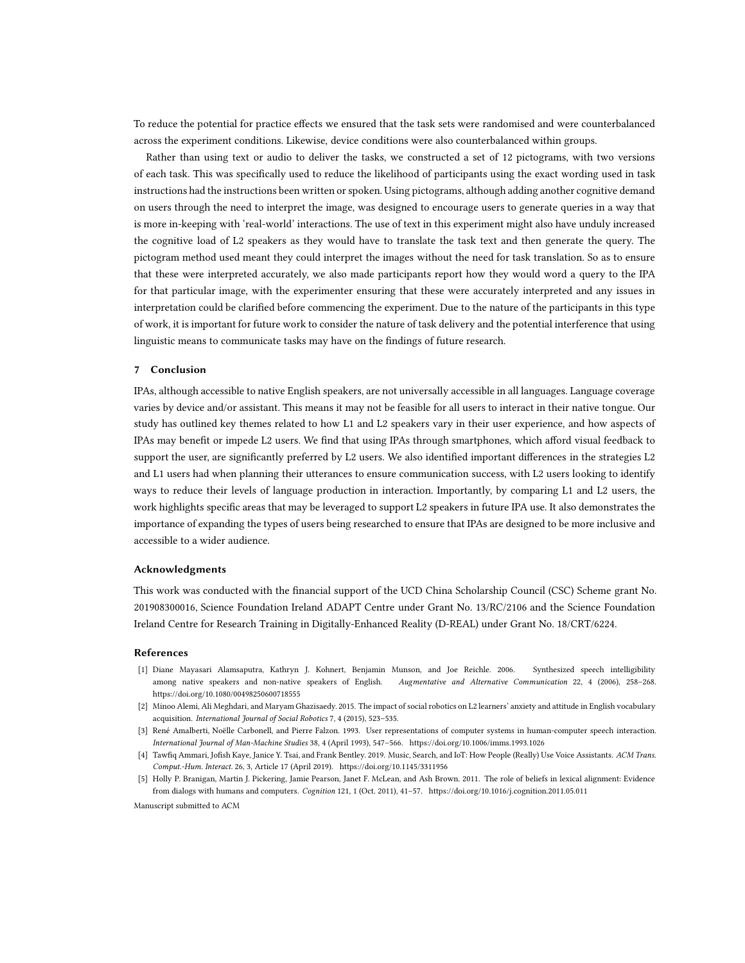To reduce the potential for practice effects we ensured that the task sets were randomised and were counterbalanced across the experiment conditions. Likewise, device conditions were also counterbalanced within groups.

Rather than using text or audio to deliver the tasks, we constructed a set of 12 pictograms, with two versions of each task. This was specifically used to reduce the likelihood of participants using the exact wording used in task instructions had the instructions been written or spoken. Using pictograms, although adding another cognitive demand on users through the need to interpret the image, was designed to encourage users to generate queries in a way that is more in-keeping with 'real-world' interactions. The use of text in this experiment might also have unduly increased the cognitive load of L2 speakers as they would have to translate the task text and then generate the query. The pictogram method used meant they could interpret the images without the need for task translation. So as to ensure that these were interpreted accurately, we also made participants report how they would word a query to the IPA for that particular image, with the experimenter ensuring that these were accurately interpreted and any issues in interpretation could be clarified before commencing the experiment. Due to the nature of the participants in this type of work, it is important for future work to consider the nature of task delivery and the potential interference that using linguistic means to communicate tasks may have on the findings of future research.

## 7 Conclusion

IPAs, although accessible to native English speakers, are not universally accessible in all languages. Language coverage varies by device and/or assistant. This means it may not be feasible for all users to interact in their native tongue. Our study has outlined key themes related to how L1 and L2 speakers vary in their user experience, and how aspects of IPAs may benefit or impede L2 users. We find that using IPAs through smartphones, which afford visual feedback to support the user, are significantly preferred by L2 users. We also identified important differences in the strategies L2 and L1 users had when planning their utterances to ensure communication success, with L2 users looking to identify ways to reduce their levels of language production in interaction. Importantly, by comparing L1 and L2 users, the work highlights specific areas that may be leveraged to support L2 speakers in future IPA use. It also demonstrates the importance of expanding the types of users being researched to ensure that IPAs are designed to be more inclusive and accessible to a wider audience.

#### Acknowledgments

This work was conducted with the financial support of the UCD China Scholarship Council (CSC) Scheme grant No. 201908300016, Science Foundation Ireland ADAPT Centre under Grant No. 13/RC/2106 and the Science Foundation Ireland Centre for Research Training in Digitally-Enhanced Reality (D-REAL) under Grant No. 18/CRT/6224.

#### References

- <span id="page-11-4"></span>[1] Diane Mayasari Alamsaputra, Kathryn J. Kohnert, Benjamin Munson, and Joe Reichle. 2006. Synthesized speech intelligibility among native speakers and non-native speakers of English. Augmentative and Alternative Communication 22, 4 (2006), 258–268. <https://doi.org/10.1080/00498250600718555>
- <span id="page-11-1"></span>[2] Minoo Alemi, Ali Meghdari, and Maryam Ghazisaedy. 2015. The impact of social robotics on L2 learners' anxiety and attitude in English vocabulary acquisition. International Journal of Social Robotics 7, 4 (2015), 523–535.
- <span id="page-11-2"></span>[3] René Amalberti, Noëlle Carbonell, and Pierre Falzon. 1993. User representations of computer systems in human-computer speech interaction. International Journal of Man-Machine Studies 38, 4 (April 1993), 547–566.<https://doi.org/10.1006/imms.1993.1026>
- <span id="page-11-0"></span>[4] Tawfiq Ammari, Jofish Kaye, Janice Y. Tsai, and Frank Bentley. 2019. Music, Search, and IoT: How People (Really) Use Voice Assistants. ACM Trans. Comput.-Hum. Interact. 26, 3, Article 17 (April 2019).<https://doi.org/10.1145/3311956>
- <span id="page-11-3"></span>[5] Holly P. Branigan, Martin J. Pickering, Jamie Pearson, Janet F. McLean, and Ash Brown. 2011. The role of beliefs in lexical alignment: Evidence from dialogs with humans and computers. Cognition 121, 1 (Oct. 2011), 41–57.<https://doi.org/10.1016/j.cognition.2011.05.011>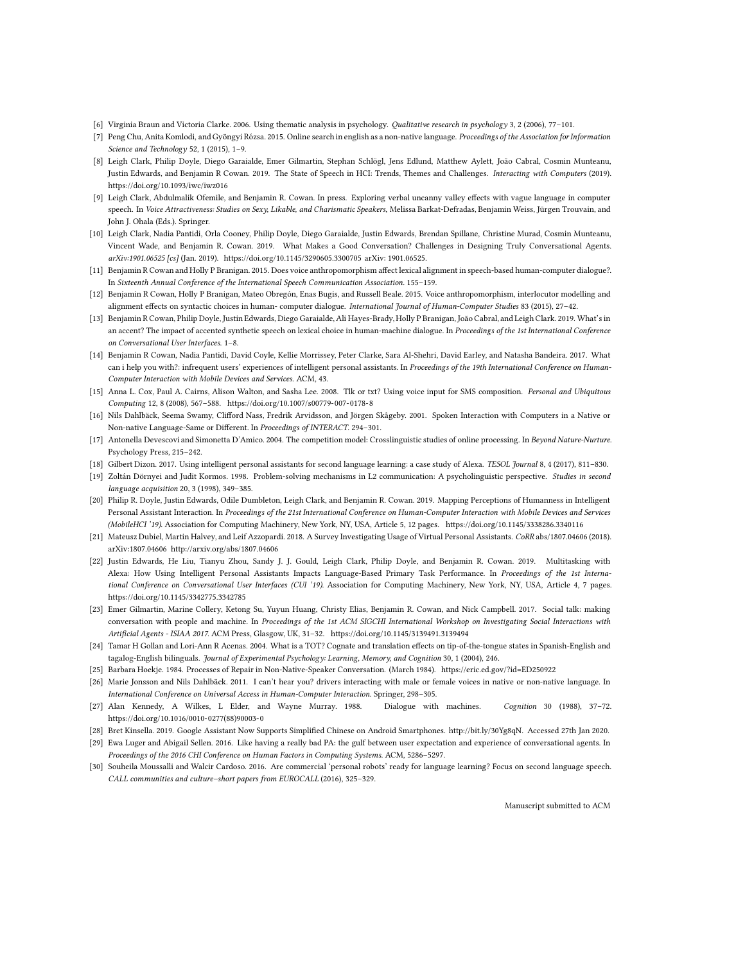- <span id="page-12-16"></span>[6] Virginia Braun and Victoria Clarke. 2006. Using thematic analysis in psychology. Qualitative research in psychology 3, 2 (2006), 77–101.
- <span id="page-12-14"></span>[7] Peng Chu, Anita Komlodi, and Gyöngyi Rózsa. 2015. Online search in english as a non-native language. Proceedings of the Association for Information Science and Technology 52, 1 (2015), 1–9.
- <span id="page-12-0"></span>[8] Leigh Clark, Philip Doyle, Diego Garaialde, Emer Gilmartin, Stephan Schlögl, Jens Edlund, Matthew Aylett, João Cabral, Cosmin Munteanu, Justin Edwards, and Benjamin R Cowan. 2019. The State of Speech in HCI: Trends, Themes and Challenges. Interacting with Computers (2019). <https://doi.org/10.1093/iwc/iwz016>
- <span id="page-12-7"></span>[9] Leigh Clark, Abdulmalik Ofemile, and Benjamin R. Cowan. In press. Exploring verbal uncanny valley effects with vague language in computer speech. In Voice Attractiveness: Studies on Sexy, Likable, and Charismatic Speakers, Melissa Barkat-Defradas, Benjamin Weiss, Jürgen Trouvain, and John J. Ohala (Eds.). Springer.
- <span id="page-12-9"></span>[10] Leigh Clark, Nadia Pantidi, Orla Cooney, Philip Doyle, Diego Garaialde, Justin Edwards, Brendan Spillane, Christine Murad, Cosmin Munteanu, Vincent Wade, and Benjamin R. Cowan. 2019. What Makes a Good Conversation? Challenges in Designing Truly Conversational Agents. arXiv:1901.06525 [cs] (Jan. 2019).<https://doi.org/10.1145/3290605.3300705> arXiv: 1901.06525.
- <span id="page-12-22"></span>[11] Benjamin R Cowan and Holly P Branigan. 2015. Does voice anthropomorphism affect lexical alignment in speech-based human-computer dialogue?. In Sixteenth Annual Conference of the International Speech Communication Association. 155–159.
- <span id="page-12-23"></span>[12] Benjamin R Cowan, Holly P Branigan, Mateo Obregón, Enas Bugis, and Russell Beale. 2015. Voice anthropomorphism, interlocutor modelling and alignment effects on syntactic choices in human- computer dialogue. International Journal of Human-Computer Studies 83 (2015), 27–42.
- <span id="page-12-18"></span>[13] Benjamin R Cowan, Philip Doyle, Justin Edwards, Diego Garaialde, Ali Hayes-Brady, Holly P Branigan, João Cabral, and Leigh Clark. 2019. What's in an accent? The impact of accented synthetic speech on lexical choice in human-machine dialogue. In Proceedings of the 1st International Conference on Conversational User Interfaces. 1–8.
- <span id="page-12-2"></span>[14] Benjamin R Cowan, Nadia Pantidi, David Coyle, Kellie Morrissey, Peter Clarke, Sara Al-Shehri, David Earley, and Natasha Bandeira. 2017. What can i help you with?: infrequent users' experiences of intelligent personal assistants. In Proceedings of the 19th International Conference on Human-Computer Interaction with Mobile Devices and Services. ACM, 43.
- <span id="page-12-4"></span>[15] Anna L. Cox, Paul A. Cairns, Alison Walton, and Sasha Lee. 2008. Tlk or txt? Using voice input for SMS composition. Personal and Ubiquitous Computing 12, 8 (2008), 567–588.<https://doi.org/10.1007/s00779-007-0178-8>
- <span id="page-12-12"></span>[16] Nils Dahlbäck, Seema Swamy, Clifford Nass, Fredrik Arvidsson, and Jörgen Skågeby. 2001. Spoken Interaction with Computers in a Native or Non-native Language-Same or Different. In Proceedings of INTERACT. 294–301.
- <span id="page-12-24"></span>[17] Antonella Devescovi and Simonetta D'Amico. 2004. The competition model: Crosslinguistic studies of online processing. In Beyond Nature-Nurture. Psychology Press, 215–242.
- <span id="page-12-10"></span>[18] Gilbert Dizon. 2017. Using intelligent personal assistants for second language learning: a case study of Alexa. TESOL Journal 8, 4 (2017), 811–830.
- <span id="page-12-20"></span>[19] Zoltán Dörnyei and Judit Kormos. 1998. Problem-solving mechanisms in L2 communication: A psycholinguistic perspective. Studies in second language acquisition 20, 3 (1998), 349–385.
- <span id="page-12-8"></span>[20] Philip R. Doyle, Justin Edwards, Odile Dumbleton, Leigh Clark, and Benjamin R. Cowan. 2019. Mapping Perceptions of Humanness in Intelligent Personal Assistant Interaction. In Proceedings of the 21st International Conference on Human-Computer Interaction with Mobile Devices and Services (MobileHCI '19). Association for Computing Machinery, New York, NY, USA, Article 5, 12 pages.<https://doi.org/10.1145/3338286.3340116>
- <span id="page-12-15"></span>[21] Mateusz Dubiel, Martin Halvey, and Leif Azzopardi. 2018. A Survey Investigating Usage of Virtual Personal Assistants. CoRR abs/1807.04606 (2018). arXiv[:1807.04606 http://arxiv.org/abs/1807.04606](http://arxiv.org/abs/1807.04606)
- <span id="page-12-5"></span>[22] Justin Edwards, He Liu, Tianyu Zhou, Sandy J. J. Gould, Leigh Clark, Philip Doyle, and Benjamin R. Cowan. 2019. Multitasking with Alexa: How Using Intelligent Personal Assistants Impacts Language-Based Primary Task Performance. In Proceedings of the 1st International Conference on Conversational User Interfaces (CUI '19). Association for Computing Machinery, New York, NY, USA, Article 4, 7 pages. <https://doi.org/10.1145/3342775.3342785>
- <span id="page-12-6"></span>[23] Emer Gilmartin, Marine Collery, Ketong Su, Yuyun Huang, Christy Elias, Benjamin R. Cowan, and Nick Campbell. 2017. Social talk: making conversation with people and machine. In Proceedings of the 1st ACM SIGCHI International Workshop on Investigating Social Interactions with Artificial Agents - ISIAA 2017. ACM Press, Glasgow, UK, 31–32.<https://doi.org/10.1145/3139491.3139494>
- <span id="page-12-21"></span>[24] Tamar H Gollan and Lori-Ann R Acenas. 2004. What is a TOT? Cognate and translation effects on tip-of-the-tongue states in Spanish-English and tagalog-English bilinguals. Journal of Experimental Psychology: Learning, Memory, and Cognition 30, 1 (2004), 246.
- <span id="page-12-19"></span>[25] Barbara Hoekje. 1984. Processes of Repair in Non-Native-Speaker Conversation. (March 1984).<https://eric.ed.gov/?id=ED250922>
- <span id="page-12-13"></span>[26] Marie Jonsson and Nils Dahlbäck. 2011. I can't hear you? drivers interacting with male or female voices in native or non-native language. In International Conference on Universal Access in Human-Computer Interaction. Springer, 298–305.
- <span id="page-12-17"></span>[27] Alan Kennedy, A Wilkes, L Elder, and Wayne Murray. 1988. Dialogue with machines. Cognition 30 (1988), 37–72. [https://doi.org/10.1016/0010-0277\(88\)90003-0](https://doi.org/10.1016/0010-0277(88)90003-0)
- <span id="page-12-1"></span>[28] Bret Kinsella. 2019. Google Assistant Now Supports Simplified Chinese on Android Smartphones. [http://bit.ly/30Yg8qN.](http://bit.ly/30Yg8qN) Accessed 27th Jan 2020.
- <span id="page-12-3"></span>[29] Ewa Luger and Abigail Sellen. 2016. Like having a really bad PA: the gulf between user expectation and experience of conversational agents. In Proceedings of the 2016 CHI Conference on Human Factors in Computing Systems. ACM, 5286–5297.
- <span id="page-12-11"></span>[30] Souheila Moussalli and Walcir Cardoso. 2016. Are commercial 'personal robots' ready for language learning? Focus on second language speech. CALL communities and culture–short papers from EUROCALL (2016), 325–329.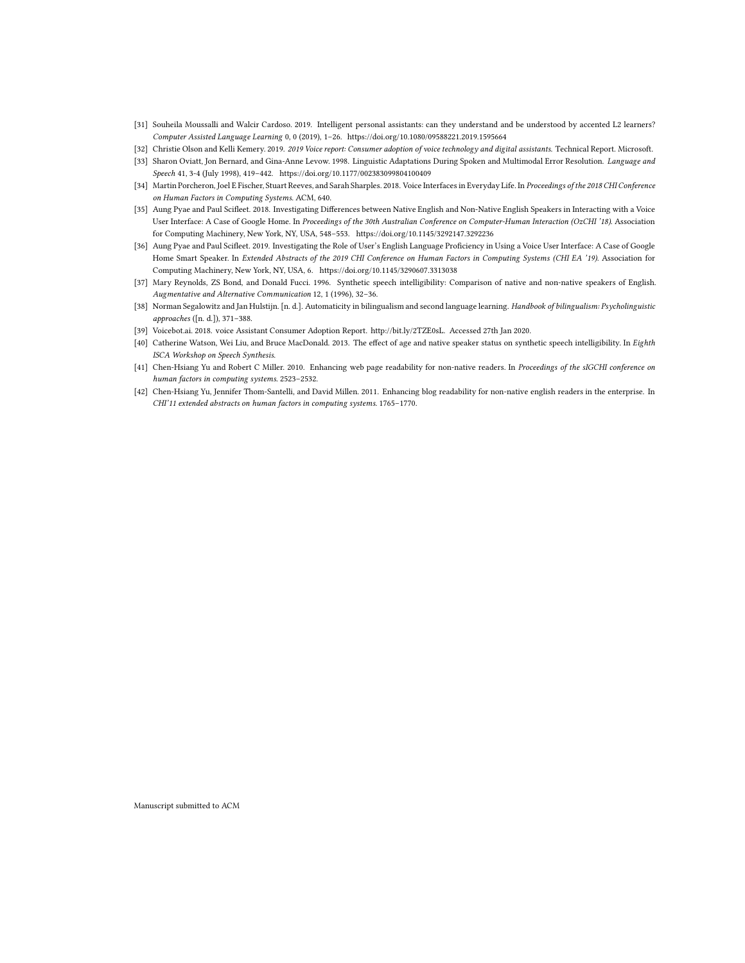- <span id="page-13-5"></span><span id="page-13-0"></span>[31] Souheila Moussalli and Walcir Cardoso. 2019. Intelligent personal assistants: can they understand and be understood by accented L2 learners? Computer Assisted Language Learning 0, 0 (2019), 1–26.<https://doi.org/10.1080/09588221.2019.1595664>
- <span id="page-13-8"></span>[32] Christie Olson and Kelli Kemery. 2019. 2019 Voice report: Consumer adoption of voice technology and digital assistants. Technical Report. Microsoft.
- <span id="page-13-9"></span>[33] Sharon Oviatt, Jon Bernard, and Gina-Anne Levow. 1998. Linguistic Adaptations During Spoken and Multimodal Error Resolution. Language and Speech 41, 3-4 (July 1998), 419–442.<https://doi.org/10.1177/002383099804100409>
- <span id="page-13-1"></span>[34] Martin Porcheron, Joel E Fischer, Stuart Reeves, and Sarah Sharples. 2018. Voice Interfaces in Everyday Life. In Proceedings of the 2018 CHI Conference on Human Factors in Computing Systems. ACM, 640.
- <span id="page-13-3"></span>[35] Aung Pyae and Paul Scifleet. 2018. Investigating Differences between Native English and Non-Native English Speakers in Interacting with a Voice User Interface: A Case of Google Home. In Proceedings of the 30th Australian Conference on Computer-Human Interaction (OzCHI '18). Association for Computing Machinery, New York, NY, USA, 548–553.<https://doi.org/10.1145/3292147.3292236>
- <span id="page-13-4"></span>[36] Aung Pyae and Paul Scifleet. 2019. Investigating the Role of User's English Language Proficiency in Using a Voice User Interface: A Case of Google Home Smart Speaker. In Extended Abstracts of the 2019 CHI Conference on Human Factors in Computing Systems (CHI EA '19). Association for Computing Machinery, New York, NY, USA, 6.<https://doi.org/10.1145/3290607.3313038>
- <span id="page-13-10"></span>[37] Mary Reynolds, ZS Bond, and Donald Fucci. 1996. Synthetic speech intelligibility: Comparison of native and non-native speakers of English. Augmentative and Alternative Communication 12, 1 (1996), 32–36.
- <span id="page-13-11"></span>[38] Norman Segalowitz and Jan Hulstijn. [n. d.]. Automaticity in bilingualism and second language learning. Handbook of bilingualism: Psycholinguistic approaches ([n. d.]), 371–388.
- <span id="page-13-2"></span>[39] Voicebot.ai. 2018. voice Assistant Consumer Adoption Report. [http://bit.ly/2TZE0sL.](http://bit.ly/2TZE0sL) Accessed 27th Jan 2020.
- <span id="page-13-12"></span>[40] Catherine Watson, Wei Liu, and Bruce MacDonald. 2013. The effect of age and native speaker status on synthetic speech intelligibility. In Eighth ISCA Workshop on Speech Synthesis.
- <span id="page-13-6"></span>[41] Chen-Hsiang Yu and Robert C Miller. 2010. Enhancing web page readability for non-native readers. In Proceedings of the sIGCHI conference on human factors in computing systems. 2523–2532.
- <span id="page-13-7"></span>[42] Chen-Hsiang Yu, Jennifer Thom-Santelli, and David Millen. 2011. Enhancing blog readability for non-native english readers in the enterprise. In CHI'11 extended abstracts on human factors in computing systems. 1765–1770.